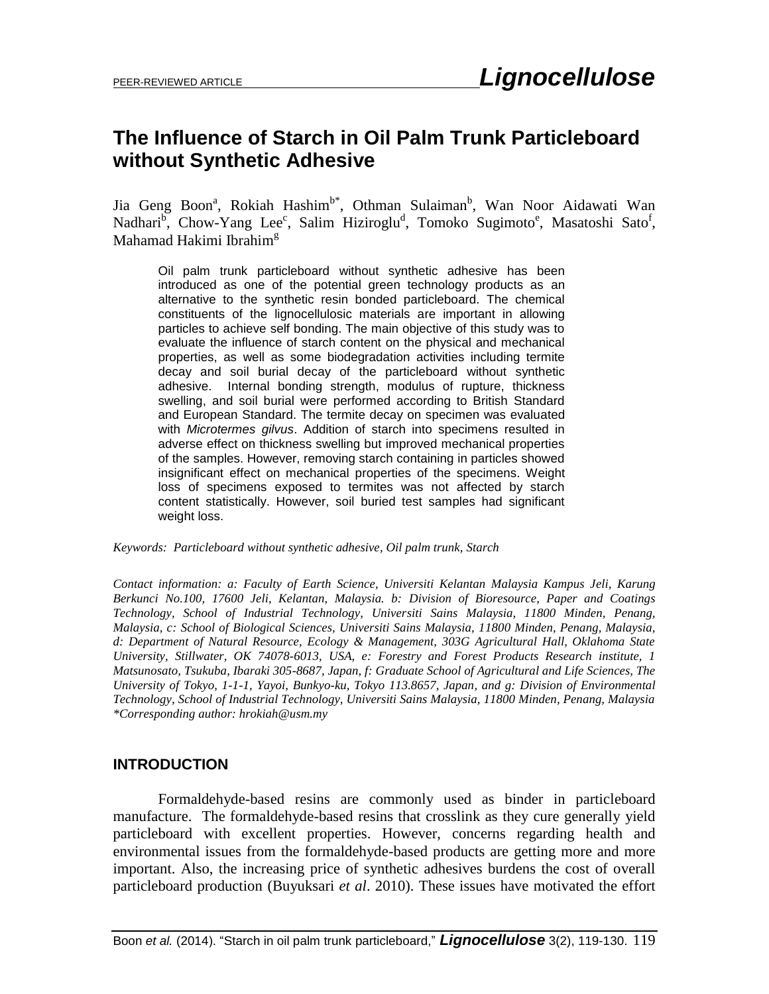# **The Influence of Starch in Oil Palm Trunk Particleboard without Synthetic Adhesive**

Jia Geng Boon<sup>a</sup>, Rokiah Hashim<sup>b\*</sup>, Othman Sulaiman<sup>b</sup>, Wan Noor Aidawati Wan Nadhari<sup>b</sup>, Chow-Yang Lee<sup>c</sup>, Salim Hiziroglu<sup>d</sup>, Tomoko Sugimoto<sup>e</sup>, Masatoshi Sato<sup>f</sup>, Mahamad Hakimi Ibrahim<sup>g</sup>

Oil palm trunk particleboard without synthetic adhesive has been introduced as one of the potential green technology products as an alternative to the synthetic resin bonded particleboard. The chemical constituents of the lignocellulosic materials are important in allowing particles to achieve self bonding. The main objective of this study was to evaluate the influence of starch content on the physical and mechanical properties, as well as some biodegradation activities including termite decay and soil burial decay of the particleboard without synthetic adhesive. Internal bonding strength, modulus of rupture, thickness swelling, and soil burial were performed according to British Standard and European Standard. The termite decay on specimen was evaluated with *Microtermes gilvus*. Addition of starch into specimens resulted in adverse effect on thickness swelling but improved mechanical properties of the samples. However, removing starch containing in particles showed insignificant effect on mechanical properties of the specimens. Weight loss of specimens exposed to termites was not affected by starch content statistically. However, soil buried test samples had significant weight loss.

*Keywords: Particleboard without synthetic adhesive, Oil palm trunk, Starch* 

*Contact information: a: Faculty of Earth Science, Universiti Kelantan Malaysia Kampus Jeli, Karung Berkunci No.100, 17600 Jeli, Kelantan, Malaysia. b: Division of Bioresource, Paper and Coatings Technology, School of Industrial Technology, Universiti Sains Malaysia, 11800 Minden, Penang, Malaysia, c: School of Biological Sciences, Universiti Sains Malaysia, 11800 Minden, Penang, Malaysia, d: Department of Natural Resource, Ecology & Management, 303G Agricultural Hall, Oklahoma State University, Stillwater, OK 74078-6013, USA, e: Forestry and Forest Products Research institute, 1 Matsunosato, Tsukuba, Ibaraki 305-8687, Japan, f: Graduate School of Agricultural and Life Sciences, The University of Tokyo, 1-1-1, Yayoi, Bunkyo-ku, Tokyo 113.8657, Japan, and g: Division of Environmental Technology, School of Industrial Technology, Universiti Sains Malaysia, 11800 Minden, Penang, Malaysia \*Corresponding author: hrokiah@usm.my*

# **INTRODUCTION**

Formaldehyde-based resins are commonly used as binder in particleboard manufacture. The formaldehyde-based resins that crosslink as they cure generally yield particleboard with excellent properties. However, concerns regarding health and environmental issues from the formaldehyde-based products are getting more and more important. Also, the increasing price of synthetic adhesives burdens the cost of overall particleboard production (Buyuksari *et al*. 2010). These issues have motivated the effort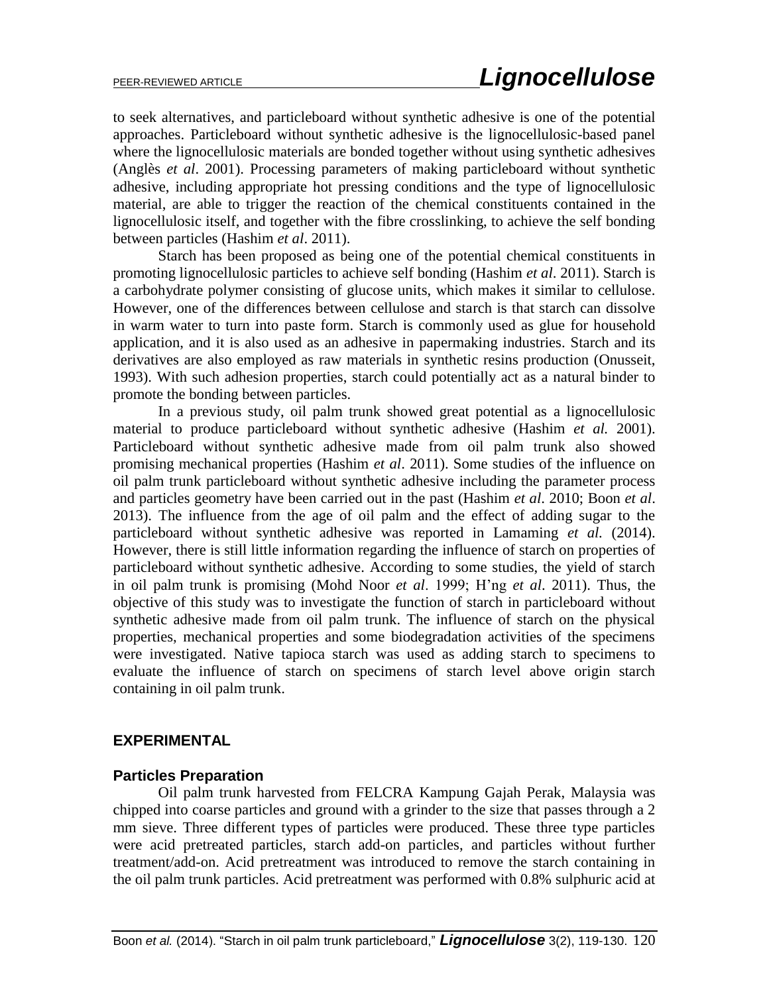to seek alternatives, and particleboard without synthetic adhesive is one of the potential approaches. Particleboard without synthetic adhesive is the lignocellulosic-based panel where the lignocellulosic materials are bonded together without using synthetic adhesives (Anglès *et al*. 2001). Processing parameters of making particleboard without synthetic adhesive, including appropriate hot pressing conditions and the type of lignocellulosic material, are able to trigger the reaction of the chemical constituents contained in the lignocellulosic itself, and together with the fibre crosslinking, to achieve the self bonding between particles (Hashim *et al*. 2011).

Starch has been proposed as being one of the potential chemical constituents in promoting lignocellulosic particles to achieve self bonding (Hashim *et al*. 2011). Starch is a carbohydrate polymer consisting of glucose units, which makes it similar to cellulose. However, one of the differences between cellulose and starch is that starch can dissolve in warm water to turn into paste form. Starch is commonly used as glue for household application, and it is also used as an adhesive in papermaking industries. Starch and its derivatives are also employed as raw materials in synthetic resins production (Onusseit, 1993). With such adhesion properties, starch could potentially act as a natural binder to promote the bonding between particles.

In a previous study, oil palm trunk showed great potential as a lignocellulosic material to produce particleboard without synthetic adhesive (Hashim *et al.* 2001). Particleboard without synthetic adhesive made from oil palm trunk also showed promising mechanical properties (Hashim *et al*. 2011). Some studies of the influence on oil palm trunk particleboard without synthetic adhesive including the parameter process and particles geometry have been carried out in the past (Hashim *et al*. 2010; Boon *et al*. 2013). The influence from the age of oil palm and the effect of adding sugar to the particleboard without synthetic adhesive was reported in Lamaming *et al.* (2014). However, there is still little information regarding the influence of starch on properties of particleboard without synthetic adhesive. According to some studies, the yield of starch in oil palm trunk is promising (Mohd Noor *et al*. 1999; H'ng *et al*. 2011). Thus, the objective of this study was to investigate the function of starch in particleboard without synthetic adhesive made from oil palm trunk. The influence of starch on the physical properties, mechanical properties and some biodegradation activities of the specimens were investigated. Native tapioca starch was used as adding starch to specimens to evaluate the influence of starch on specimens of starch level above origin starch containing in oil palm trunk.

#### **EXPERIMENTAL**

#### **Particles Preparation**

Oil palm trunk harvested from FELCRA Kampung Gajah Perak, Malaysia was chipped into coarse particles and ground with a grinder to the size that passes through a 2 mm sieve. Three different types of particles were produced. These three type particles were acid pretreated particles, starch add-on particles, and particles without further treatment/add-on. Acid pretreatment was introduced to remove the starch containing in the oil palm trunk particles. Acid pretreatment was performed with 0.8% sulphuric acid at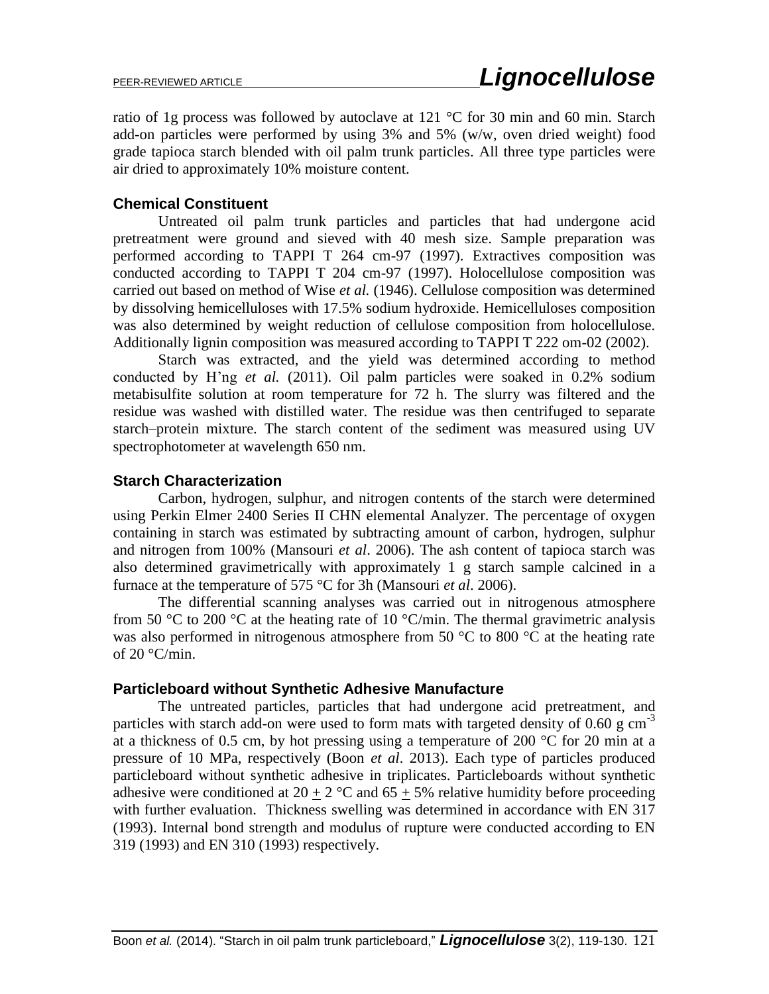ratio of 1g process was followed by autoclave at 121 °C for 30 min and 60 min. Starch add-on particles were performed by using 3% and 5% (w/w, oven dried weight) food grade tapioca starch blended with oil palm trunk particles. All three type particles were air dried to approximately 10% moisture content.

# **Chemical Constituent**

Untreated oil palm trunk particles and particles that had undergone acid pretreatment were ground and sieved with 40 mesh size. Sample preparation was performed according to TAPPI T 264 cm-97 (1997). Extractives composition was conducted according to TAPPI T 204 cm-97 (1997). Holocellulose composition was carried out based on method of Wise *et al.* (1946). Cellulose composition was determined by dissolving hemicelluloses with 17.5% sodium hydroxide. Hemicelluloses composition was also determined by weight reduction of cellulose composition from holocellulose. Additionally lignin composition was measured according to TAPPI T 222 om-02 (2002).

Starch was extracted, and the yield was determined according to method conducted by H'ng *et al.* (2011). Oil palm particles were soaked in 0.2% sodium metabisulfite solution at room temperature for 72 h. The slurry was filtered and the residue was washed with distilled water. The residue was then centrifuged to separate starch–protein mixture. The starch content of the sediment was measured using UV spectrophotometer at wavelength 650 nm.

# **Starch Characterization**

Carbon, hydrogen, sulphur, and nitrogen contents of the starch were determined using Perkin Elmer 2400 Series II CHN elemental Analyzer. The percentage of oxygen containing in starch was estimated by subtracting amount of carbon, hydrogen, sulphur and nitrogen from 100% (Mansouri *et al*. 2006). The ash content of tapioca starch was also determined gravimetrically with approximately 1 g starch sample calcined in a furnace at the temperature of 575 °C for 3h (Mansouri *et al*. 2006).

The differential scanning analyses was carried out in nitrogenous atmosphere from 50 °C to 200 °C at the heating rate of 10 °C/min. The thermal gravimetric analysis was also performed in nitrogenous atmosphere from 50 °C to 800 °C at the heating rate of  $20^{\circ}$ C/min.

# **Particleboard without Synthetic Adhesive Manufacture**

The untreated particles, particles that had undergone acid pretreatment, and particles with starch add-on were used to form mats with targeted density of 0.60 g  $cm^{-3}$ at a thickness of 0.5 cm, by hot pressing using a temperature of 200  $\degree$ C for 20 min at a pressure of 10 MPa, respectively (Boon *et al*. 2013). Each type of particles produced particleboard without synthetic adhesive in triplicates. Particleboards without synthetic adhesive were conditioned at  $20 + 2$  °C and  $65 + 5%$  relative humidity before proceeding with further evaluation. Thickness swelling was determined in accordance with EN 317 (1993). Internal bond strength and modulus of rupture were conducted according to EN 319 (1993) and EN 310 (1993) respectively.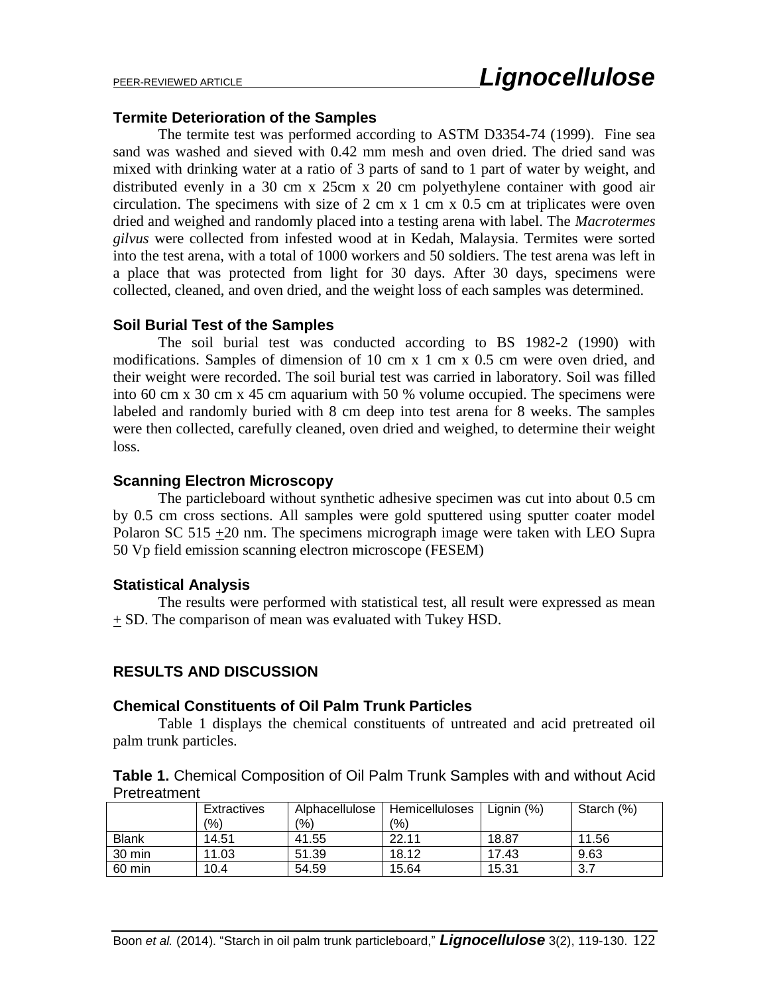#### **Termite Deterioration of the Samples**

The termite test was performed according to ASTM D3354-74 (1999). Fine sea sand was washed and sieved with 0.42 mm mesh and oven dried. The dried sand was mixed with drinking water at a ratio of 3 parts of sand to 1 part of water by weight, and distributed evenly in a 30 cm x 25cm x 20 cm polyethylene container with good air circulation. The specimens with size of 2 cm x 1 cm x 0.5 cm at triplicates were oven dried and weighed and randomly placed into a testing arena with label. The *Macrotermes gilvus* were collected from infested wood at in Kedah, Malaysia. Termites were sorted into the test arena, with a total of 1000 workers and 50 soldiers. The test arena was left in a place that was protected from light for 30 days. After 30 days, specimens were collected, cleaned, and oven dried, and the weight loss of each samples was determined.

#### **Soil Burial Test of the Samples**

The soil burial test was conducted according to BS 1982-2 (1990) with modifications. Samples of dimension of 10 cm x 1 cm x 0.5 cm were oven dried, and their weight were recorded. The soil burial test was carried in laboratory. Soil was filled into 60 cm x 30 cm x 45 cm aquarium with 50 % volume occupied. The specimens were labeled and randomly buried with 8 cm deep into test arena for 8 weeks. The samples were then collected, carefully cleaned, oven dried and weighed, to determine their weight loss.

#### **Scanning Electron Microscopy**

The particleboard without synthetic adhesive specimen was cut into about 0.5 cm by 0.5 cm cross sections. All samples were gold sputtered using sputter coater model Polaron SC 515 +20 nm. The specimens micrograph image were taken with LEO Supra 50 Vp field emission scanning electron microscope (FESEM)

#### **Statistical Analysis**

The results were performed with statistical test, all result were expressed as mean + SD. The comparison of mean was evaluated with Tukey HSD.

#### **RESULTS AND DISCUSSION**

#### **Chemical Constituents of Oil Palm Trunk Particles**

Table 1 displays the chemical constituents of untreated and acid pretreated oil palm trunk particles.

| Table 1. Chemical Composition of Oil Palm Trunk Samples with and without Acid |  |  |
|-------------------------------------------------------------------------------|--|--|
| Pretreatment                                                                  |  |  |

|              | Extractives | Alphacellulose | Hemicelluloses | Lignin (%) | Starch (%) |
|--------------|-------------|----------------|----------------|------------|------------|
|              | (9/0)       | (9/6)          | (9/0)          |            |            |
| <b>Blank</b> | 14.51       | 41.55          | 22.11          | 18.87      | 11.56      |
| 30 min       | 11.03       | 51.39          | 18.12          | 17.43      | 9.63       |
| 60 min       | 10.4        | 54.59          | 15.64          | 15.31      | 3.7        |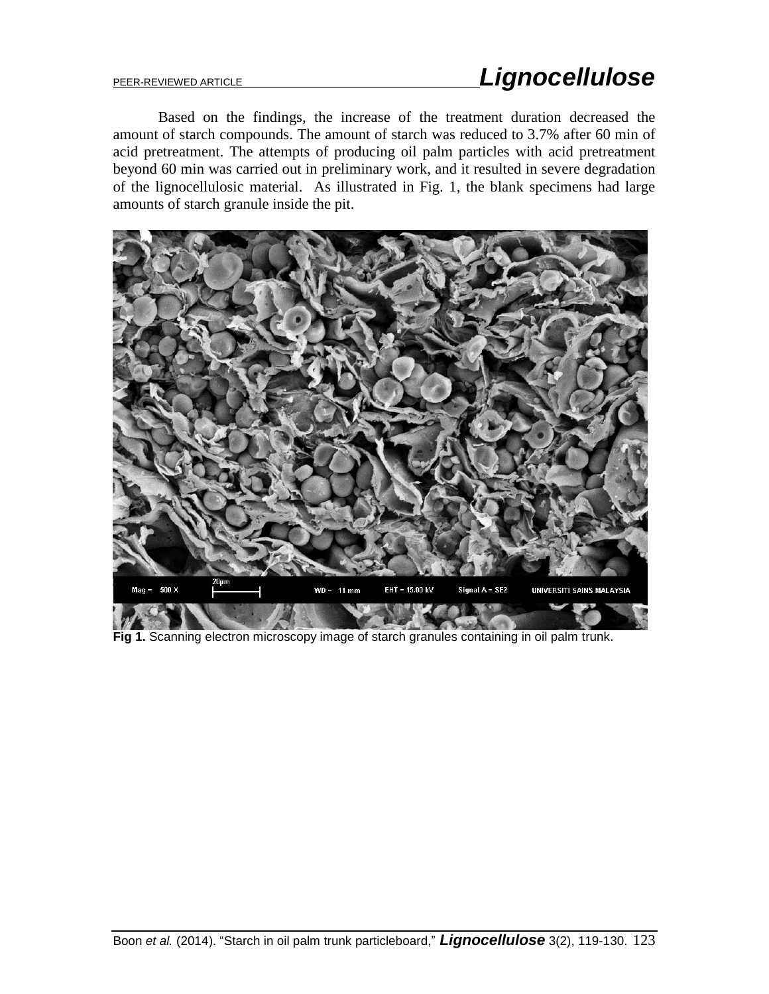# PEER-REVIEWED ARTICLE *Lignocellulose*

Based on the findings, the increase of the treatment duration decreased the amount of starch compounds. The amount of starch was reduced to 3.7% after 60 min of acid pretreatment. The attempts of producing oil palm particles with acid pretreatment beyond 60 min was carried out in preliminary work, and it resulted in severe degradation of the lignocellulosic material. As illustrated in Fig. 1, the blank specimens had large amounts of starch granule inside the pit.



**Fig 1.** Scanning electron microscopy image of starch granules containing in oil palm trunk.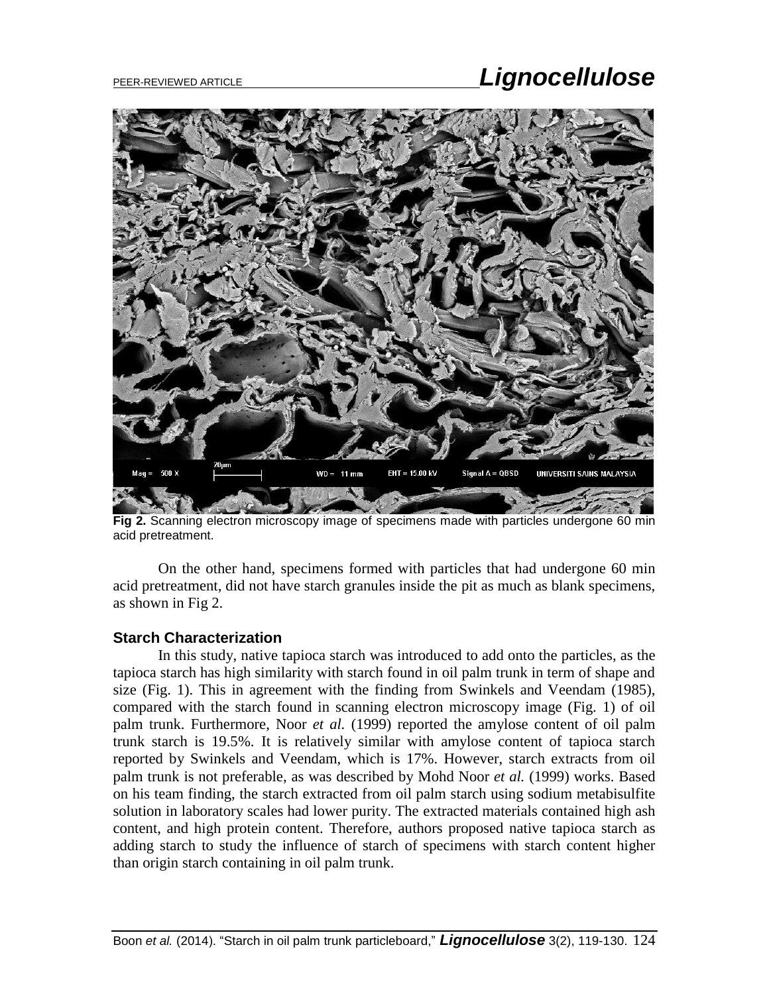# PEER-REVIEWED ARTICLE *Lignocellulose*



**Fig 2.** Scanning electron microscopy image of specimens made with particles undergone 60 min acid pretreatment.

On the other hand, specimens formed with particles that had undergone 60 min acid pretreatment, did not have starch granules inside the pit as much as blank specimens, as shown in Fig 2.

#### **Starch Characterization**

In this study, native tapioca starch was introduced to add onto the particles, as the tapioca starch has high similarity with starch found in oil palm trunk in term of shape and size (Fig. 1). This in agreement with the finding from Swinkels and Veendam (1985), compared with the starch found in scanning electron microscopy image (Fig. 1) of oil palm trunk. Furthermore, Noor *et al.* (1999) reported the amylose content of oil palm trunk starch is 19.5%. It is relatively similar with amylose content of tapioca starch reported by Swinkels and Veendam, which is 17%. However, starch extracts from oil palm trunk is not preferable, as was described by Mohd Noor *et al.* (1999) works. Based on his team finding, the starch extracted from oil palm starch using sodium metabisulfite solution in laboratory scales had lower purity. The extracted materials contained high ash content, and high protein content. Therefore, authors proposed native tapioca starch as adding starch to study the influence of starch of specimens with starch content higher than origin starch containing in oil palm trunk.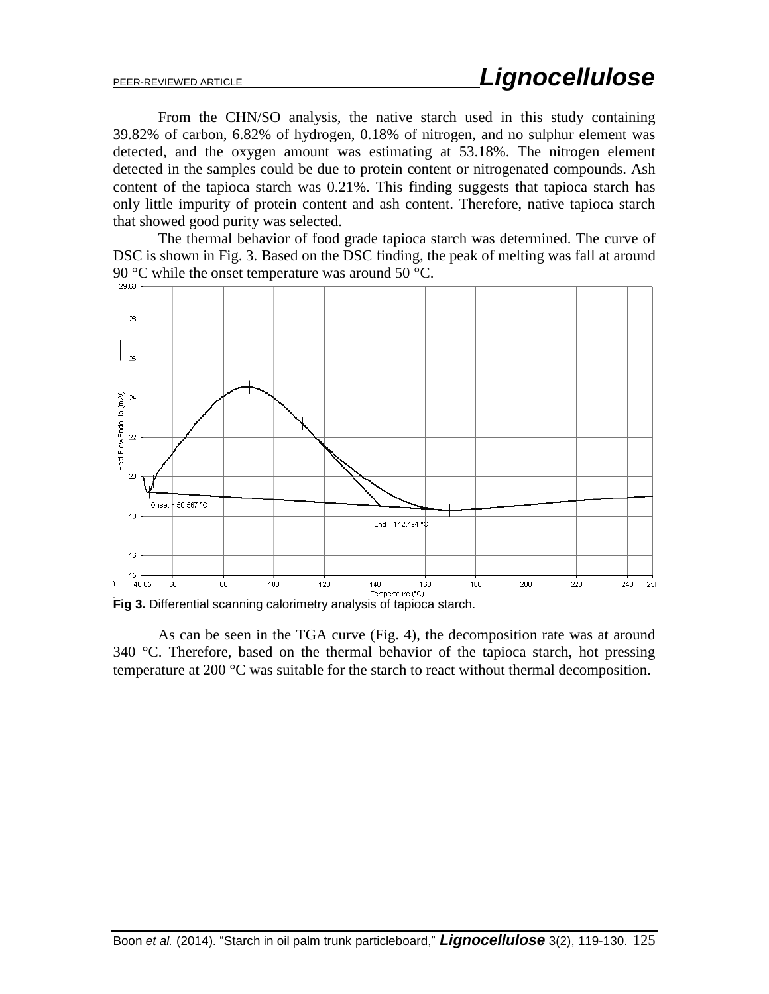From the CHN/SO analysis, the native starch used in this study containing 39.82% of carbon, 6.82% of hydrogen, 0.18% of nitrogen, and no sulphur element was detected, and the oxygen amount was estimating at 53.18%. The nitrogen element detected in the samples could be due to protein content or nitrogenated compounds. Ash content of the tapioca starch was 0.21%. This finding suggests that tapioca starch has only little impurity of protein content and ash content. Therefore, native tapioca starch that showed good purity was selected.

The thermal behavior of food grade tapioca starch was determined. The curve of DSC is shown in Fig. 3. Based on the DSC finding, the peak of melting was fall at around 90 °C while the onset temperature was around 50 °C.



**Fig 3.** Differential scanning calorimetry analysis of tapioca starch.

As can be seen in the TGA curve (Fig. 4), the decomposition rate was at around 340 °C. Therefore, based on the thermal behavior of the tapioca starch, hot pressing temperature at 200 °C was suitable for the starch to react without thermal decomposition.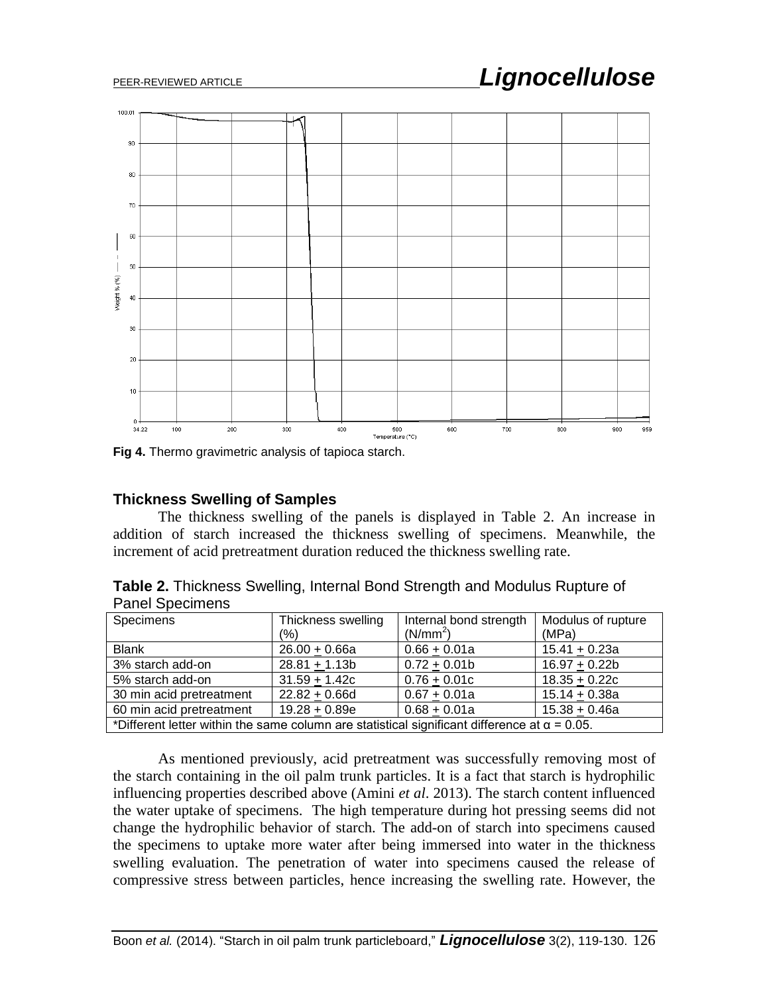# PEER-REVIEWED ARTICLE *Lignocellulose*



**Fig 4.** Thermo gravimetric analysis of tapioca starch.

#### **Thickness Swelling of Samples**

The thickness swelling of the panels is displayed in Table 2. An increase in addition of starch increased the thickness swelling of specimens. Meanwhile, the increment of acid pretreatment duration reduced the thickness swelling rate.

**Table 2.** Thickness Swelling, Internal Bond Strength and Modulus Rupture of Panel Specimens

| Specimens                                                                                           | Thickness swelling<br>(%) | Internal bond strength<br>(N/mm <sup>2</sup> ) | Modulus of rupture<br>(MPa) |
|-----------------------------------------------------------------------------------------------------|---------------------------|------------------------------------------------|-----------------------------|
| <b>Blank</b>                                                                                        | $26.00 + 0.66a$           | $0.66 + 0.01a$                                 | $15.41 + 0.23a$             |
| 3% starch add-on                                                                                    | $28.81 + 1.13b$           | $0.72 + 0.01b$                                 | $16.97 + 0.22b$             |
| 5% starch add-on                                                                                    | $31.59 + 1.42c$           | $0.76 + 0.01c$                                 | $18.35 + 0.22c$             |
| 30 min acid pretreatment                                                                            | $22.82 + 0.66d$           | $0.67 + 0.01a$                                 | $15.14 + 0.38a$             |
| 60 min acid pretreatment                                                                            | $19.28 + 0.89e$           | $0.68 + 0.01a$                                 | $15.38 + 0.46a$             |
| *Different letter within the same column are statistical significant difference at $\alpha$ = 0.05. |                           |                                                |                             |

As mentioned previously, acid pretreatment was successfully removing most of the starch containing in the oil palm trunk particles. It is a fact that starch is hydrophilic influencing properties described above (Amini *et al*. 2013). The starch content influenced the water uptake of specimens. The high temperature during hot pressing seems did not change the hydrophilic behavior of starch. The add-on of starch into specimens caused the specimens to uptake more water after being immersed into water in the thickness swelling evaluation. The penetration of water into specimens caused the release of compressive stress between particles, hence increasing the swelling rate. However, the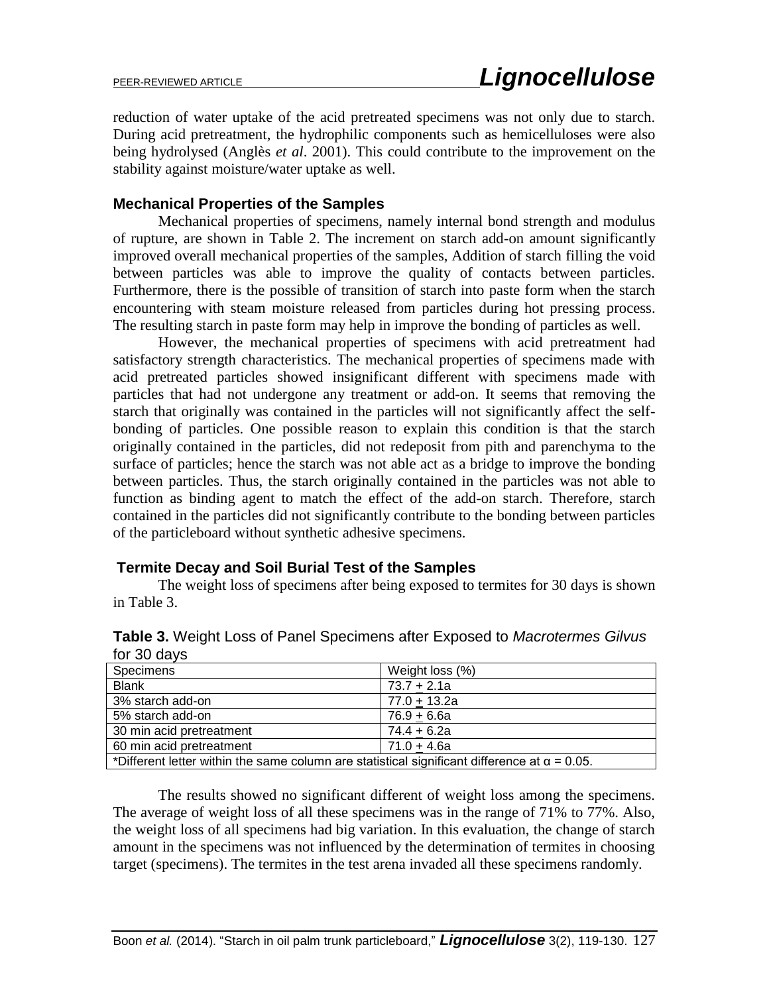reduction of water uptake of the acid pretreated specimens was not only due to starch. During acid pretreatment, the hydrophilic components such as hemicelluloses were also being hydrolysed (Anglès *et al*. 2001). This could contribute to the improvement on the stability against moisture/water uptake as well.

#### **Mechanical Properties of the Samples**

Mechanical properties of specimens, namely internal bond strength and modulus of rupture, are shown in Table 2. The increment on starch add-on amount significantly improved overall mechanical properties of the samples, Addition of starch filling the void between particles was able to improve the quality of contacts between particles. Furthermore, there is the possible of transition of starch into paste form when the starch encountering with steam moisture released from particles during hot pressing process. The resulting starch in paste form may help in improve the bonding of particles as well.

However, the mechanical properties of specimens with acid pretreatment had satisfactory strength characteristics. The mechanical properties of specimens made with acid pretreated particles showed insignificant different with specimens made with particles that had not undergone any treatment or add-on. It seems that removing the starch that originally was contained in the particles will not significantly affect the selfbonding of particles. One possible reason to explain this condition is that the starch originally contained in the particles, did not redeposit from pith and parenchyma to the surface of particles; hence the starch was not able act as a bridge to improve the bonding between particles. Thus, the starch originally contained in the particles was not able to function as binding agent to match the effect of the add-on starch. Therefore, starch contained in the particles did not significantly contribute to the bonding between particles of the particleboard without synthetic adhesive specimens.

# **Termite Decay and Soil Burial Test of the Samples**

The weight loss of specimens after being exposed to termites for 30 days is shown in Table 3.

| Specimens                                                                                           | Weight loss (%) |  |
|-----------------------------------------------------------------------------------------------------|-----------------|--|
| <b>Blank</b>                                                                                        | $73.7 + 2.1a$   |  |
| 3% starch add-on                                                                                    | $77.0 + 13.2a$  |  |
| 5% starch add-on                                                                                    | $76.9 + 6.6a$   |  |
| 30 min acid pretreatment                                                                            | $74.4 + 6.2a$   |  |
| 60 min acid pretreatment                                                                            | $71.0 + 4.6a$   |  |
| *Different letter within the same column are statistical significant difference at $\alpha$ = 0.05. |                 |  |

**Table 3.** Weight Loss of Panel Specimens after Exposed to *Macrotermes Gilvus*  for 30 days

The results showed no significant different of weight loss among the specimens. The average of weight loss of all these specimens was in the range of 71% to 77%. Also, the weight loss of all specimens had big variation. In this evaluation, the change of starch amount in the specimens was not influenced by the determination of termites in choosing target (specimens). The termites in the test arena invaded all these specimens randomly.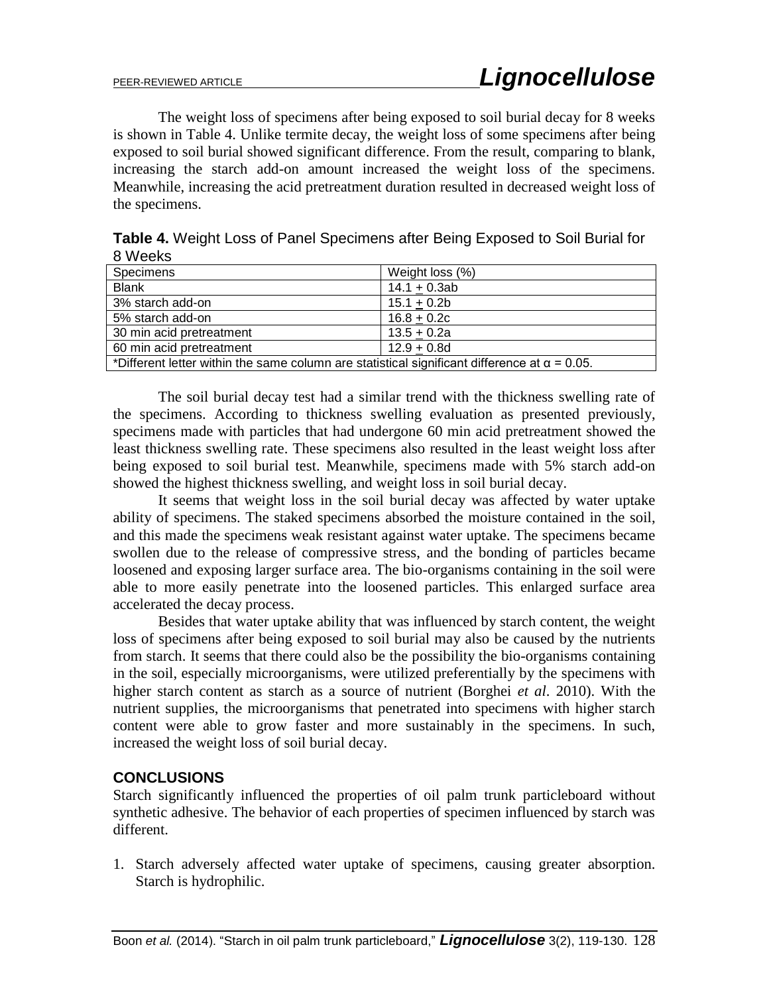The weight loss of specimens after being exposed to soil burial decay for 8 weeks is shown in Table 4. Unlike termite decay, the weight loss of some specimens after being exposed to soil burial showed significant difference. From the result, comparing to blank, increasing the starch add-on amount increased the weight loss of the specimens. Meanwhile, increasing the acid pretreatment duration resulted in decreased weight loss of the specimens.

| <u>o modino</u>                                                                                     |                 |  |
|-----------------------------------------------------------------------------------------------------|-----------------|--|
| Specimens                                                                                           | Weight loss (%) |  |
| <b>Blank</b>                                                                                        | $14.1 + 0.3ab$  |  |
| 3% starch add-on                                                                                    | $15.1 + 0.2b$   |  |
| 5% starch add-on                                                                                    | $16.8 + 0.2c$   |  |
| 30 min acid pretreatment                                                                            | $13.5 + 0.2a$   |  |
| 60 min acid pretreatment                                                                            | $12.9 + 0.8d$   |  |
| *Different letter within the same column are statistical significant difference at $\alpha$ = 0.05. |                 |  |

**Table 4.** Weight Loss of Panel Specimens after Being Exposed to Soil Burial for 8 Weeks

The soil burial decay test had a similar trend with the thickness swelling rate of the specimens. According to thickness swelling evaluation as presented previously, specimens made with particles that had undergone 60 min acid pretreatment showed the least thickness swelling rate. These specimens also resulted in the least weight loss after being exposed to soil burial test. Meanwhile, specimens made with 5% starch add-on showed the highest thickness swelling, and weight loss in soil burial decay.

It seems that weight loss in the soil burial decay was affected by water uptake ability of specimens. The staked specimens absorbed the moisture contained in the soil, and this made the specimens weak resistant against water uptake. The specimens became swollen due to the release of compressive stress, and the bonding of particles became loosened and exposing larger surface area. The bio-organisms containing in the soil were able to more easily penetrate into the loosened particles. This enlarged surface area accelerated the decay process.

Besides that water uptake ability that was influenced by starch content, the weight loss of specimens after being exposed to soil burial may also be caused by the nutrients from starch. It seems that there could also be the possibility the bio-organisms containing in the soil, especially microorganisms, were utilized preferentially by the specimens with higher starch content as starch as a source of nutrient (Borghei *et al*. 2010). With the nutrient supplies, the microorganisms that penetrated into specimens with higher starch content were able to grow faster and more sustainably in the specimens. In such, increased the weight loss of soil burial decay.

# **CONCLUSIONS**

Starch significantly influenced the properties of oil palm trunk particleboard without synthetic adhesive. The behavior of each properties of specimen influenced by starch was different.

1. Starch adversely affected water uptake of specimens, causing greater absorption. Starch is hydrophilic.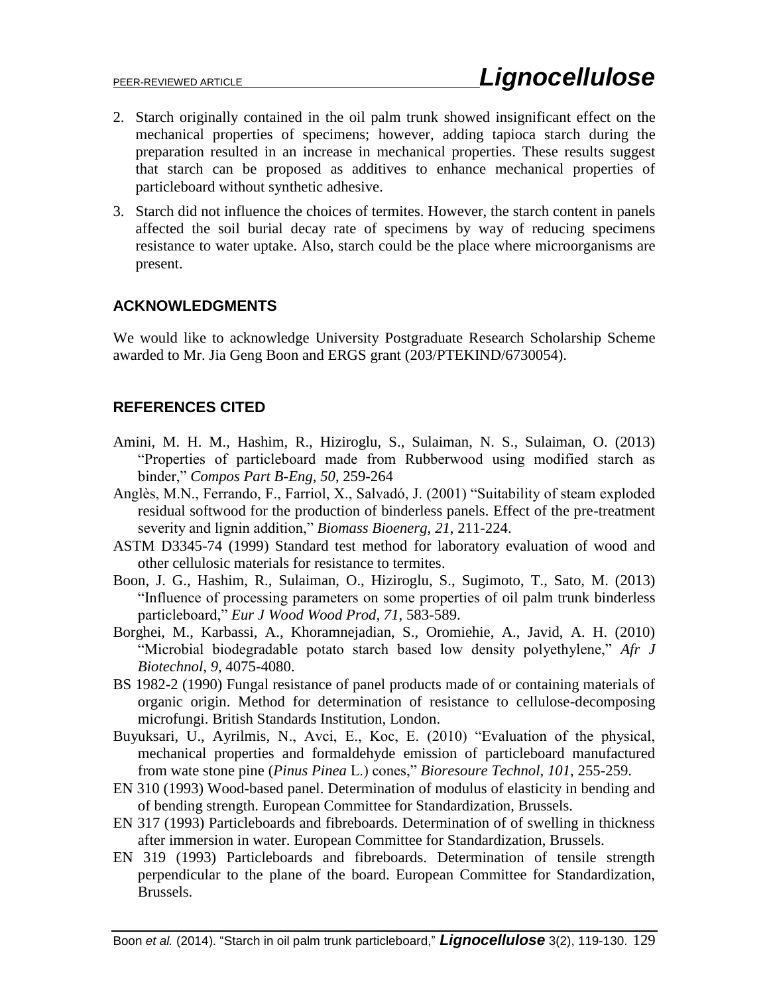- 2. Starch originally contained in the oil palm trunk showed insignificant effect on the mechanical properties of specimens; however, adding tapioca starch during the preparation resulted in an increase in mechanical properties. These results suggest that starch can be proposed as additives to enhance mechanical properties of particleboard without synthetic adhesive.
- 3. Starch did not influence the choices of termites. However, the starch content in panels affected the soil burial decay rate of specimens by way of reducing specimens resistance to water uptake. Also, starch could be the place where microorganisms are present.

# **ACKNOWLEDGMENTS**

We would like to acknowledge University Postgraduate Research Scholarship Scheme awarded to Mr. Jia Geng Boon and ERGS grant (203/PTEKIND/6730054).

# **REFERENCES CITED**

- Amini, M. H. M., Hashim, R., Hiziroglu, S., Sulaiman, N. S., Sulaiman, O. (2013) "Properties of particleboard made from Rubberwood using modified starch as binder," *Compos Part B-Eng*, *50*, 259-264
- Anglès, M.N., Ferrando, F., Farriol, X., Salvadó, J. (2001) "Suitability of steam exploded residual softwood for the production of binderless panels. Effect of the pre-treatment severity and lignin addition," *Biomass Bioenerg*, *21*, 211-224.
- ASTM D3345-74 (1999) Standard test method for laboratory evaluation of wood and other cellulosic materials for resistance to termites.
- Boon, J. G., Hashim, R., Sulaiman, O., Hiziroglu, S., Sugimoto, T., Sato, M. (2013) "Influence of processing parameters on some properties of oil palm trunk binderless particleboard," *Eur J Wood Wood Prod, 71*, 583-589.
- Borghei, M., Karbassi, A., Khoramnejadian, S., Oromiehie, A., Javid, A. H. (2010) "Microbial biodegradable potato starch based low density polyethylene," *Afr J Biotechnol*, *9*, 4075-4080.
- BS 1982-2 (1990) Fungal resistance of panel products made of or containing materials of organic origin. Method for determination of resistance to cellulose-decomposing microfungi. British Standards Institution, London.
- Buyuksari, U., Ayrilmis, N., Avci, E., Koc, E. (2010) "Evaluation of the physical, mechanical properties and formaldehyde emission of particleboard manufactured from wate stone pine (*Pinus Pinea* L.) cones," *Bioresoure Technol*, *101*, 255-259.
- EN 310 (1993) Wood-based panel. Determination of modulus of elasticity in bending and of bending strength. European Committee for Standardization, Brussels.
- EN 317 (1993) Particleboards and fibreboards. Determination of of swelling in thickness after immersion in water. European Committee for Standardization, Brussels.
- EN 319 (1993) Particleboards and fibreboards. Determination of tensile strength perpendicular to the plane of the board. European Committee for Standardization, Brussels.